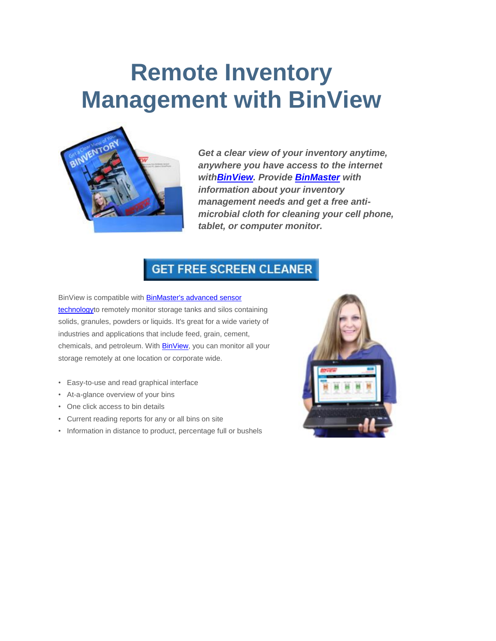## **Remote Inventory Management with BinView**



*Get a clear view of your inventory anytime, anywhere you have access to the internet wit[hBinView.](http://www.binmaster.com/products/info/56-smartbob/3241-binview) Provide [BinMaster](http://www.binmaster.com/) with information about your inventory management needs and get a free antimicrobial cloth for cleaning your cell phone, tablet, or computer monitor.*

## **GET FREE SCREEN CLEANER**

BinView is compatible with **BinMaster's advanced sensor** [technologyt](http://www.binmaster.com/products)o remotely monitor storage tanks and silos containing solids, granules, powders or liquids. It's great for a wide variety of industries and applications that include feed, grain, cement, chemicals, and petroleum. With **BinView**, you can monitor all your storage remotely at one location or corporate wide.

- Easy-to-use and read graphical interface
- At-a-glance overview of your bins
- One click access to bin details
- Current reading reports for any or all bins on site
- Information in distance to product, percentage full or bushels